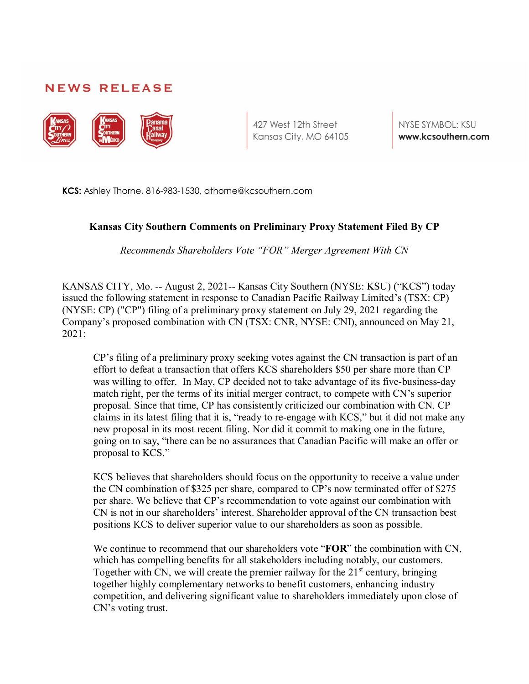# **NEWS RELEASE**



427 West 12th Street Kansas City, MO 64105

NYSE SYMBOL: KSU www.kcsouthern.com

**KCS:** Ashley Thorne, 816-983-1530, athorne@kcsouthern.com

#### **Kansas City Southern Comments on Preliminary Proxy Statement Filed By CP**

*Recommends Shareholders Vote "FOR" Merger Agreement With CN*

KANSAS CITY, Mo. -- August 2, 2021-- Kansas City Southern (NYSE: KSU) ("KCS") today issued the following statement in response to Canadian Pacific Railway Limited's (TSX: CP) (NYSE: CP) ("CP") filing of a preliminary proxy statement on July 29, 2021 regarding the Company's proposed combination with CN (TSX: CNR, NYSE: CNI), announced on May 21, 2021:

CP's filing of a preliminary proxy seeking votes against the CN transaction is part of an effort to defeat a transaction that offers KCS shareholders \$50 per share more than CP was willing to offer. In May, CP decided not to take advantage of its five-business-day match right, per the terms of its initial merger contract, to compete with CN's superior proposal. Since that time, CP has consistently criticized our combination with CN. CP claims in its latest filing that it is, "ready to re-engage with KCS," but it did not make any new proposal in its most recent filing. Nor did it commit to making one in the future, going on to say, "there can be no assurances that Canadian Pacific will make an offer or proposal to KCS."

KCS believes that shareholders should focus on the opportunity to receive a value under the CN combination of \$325 per share, compared to CP's now terminated offer of \$275 per share. We believe that CP's recommendation to vote against our combination with CN is not in our shareholders' interest. Shareholder approval of the CN transaction best positions KCS to deliver superior value to our shareholders as soon as possible.

We continue to recommend that our shareholders vote "**FOR**" the combination with CN, which has compelling benefits for all stakeholders including notably, our customers. Together with CN, we will create the premier railway for the  $21<sup>st</sup>$  century, bringing together highly complementary networks to benefit customers, enhancing industry competition, and delivering significant value to shareholders immediately upon close of CN's voting trust.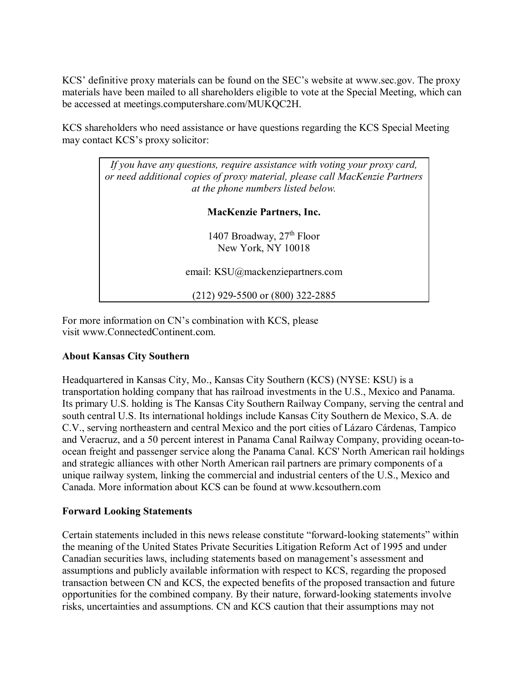KCS' definitive proxy materials can be found on the SEC's website at www.sec.gov. The proxy materials have been mailed to all shareholders eligible to vote at the Special Meeting, which can be accessed at meetings.computershare.com/MUKQC2H.

KCS shareholders who need assistance or have questions regarding the KCS Special Meeting may contact KCS's proxy solicitor:

| If you have any questions, require assistance with voting your proxy card,<br>or need additional copies of proxy material, please call MacKenzie Partners<br>at the phone numbers listed below. |
|-------------------------------------------------------------------------------------------------------------------------------------------------------------------------------------------------|
| <b>MacKenzie Partners, Inc.</b>                                                                                                                                                                 |
| 1407 Broadway, 27 <sup>th</sup> Floor<br>New York, NY 10018                                                                                                                                     |

email: KSU@mackenziepartners.com

(212) 929-5500 or (800) 322-2885

For more information on CN's combination with KCS, please visit www.ConnectedContinent.com.

# **About Kansas City Southern**

Headquartered in Kansas City, Mo., Kansas City Southern (KCS) (NYSE: KSU) is a transportation holding company that has railroad investments in the U.S., Mexico and Panama. Its primary U.S. holding is The Kansas City Southern Railway Company, serving the central and south central U.S. Its international holdings include Kansas City Southern de Mexico, S.A. de C.V., serving northeastern and central Mexico and the port cities of Lázaro Cárdenas, Tampico and Veracruz, and a 50 percent interest in Panama Canal Railway Company, providing ocean-toocean freight and passenger service along the Panama Canal. KCS' North American rail holdings and strategic alliances with other North American rail partners are primary components of a unique railway system, linking the commercial and industrial centers of the U.S., Mexico and Canada. More information about KCS can be found at www.kcsouthern.com

# **Forward Looking Statements**

Certain statements included in this news release constitute "forward-looking statements" within the meaning of the United States Private Securities Litigation Reform Act of 1995 and under Canadian securities laws, including statements based on management's assessment and assumptions and publicly available information with respect to KCS, regarding the proposed transaction between CN and KCS, the expected benefits of the proposed transaction and future opportunities for the combined company. By their nature, forward-looking statements involve risks, uncertainties and assumptions. CN and KCS caution that their assumptions may not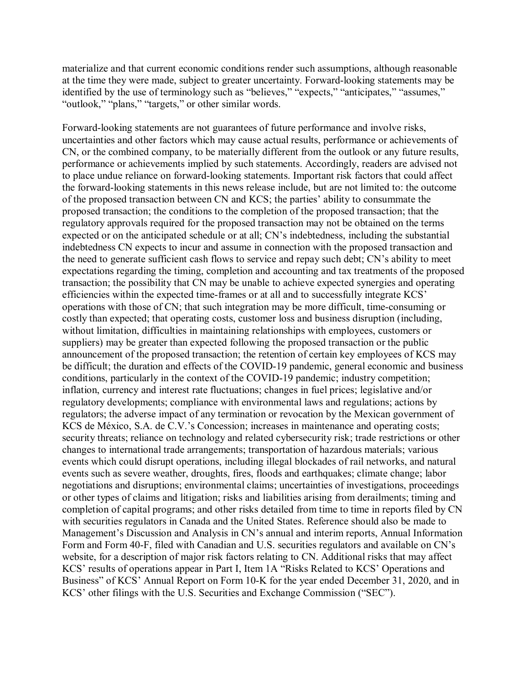materialize and that current economic conditions render such assumptions, although reasonable at the time they were made, subject to greater uncertainty. Forward-looking statements may be identified by the use of terminology such as "believes," "expects," "anticipates," "assumes," "outlook," "plans," "targets," or other similar words.

Forward-looking statements are not guarantees of future performance and involve risks, uncertainties and other factors which may cause actual results, performance or achievements of CN, or the combined company, to be materially different from the outlook or any future results, performance or achievements implied by such statements. Accordingly, readers are advised not to place undue reliance on forward-looking statements. Important risk factors that could affect the forward-looking statements in this news release include, but are not limited to: the outcome of the proposed transaction between CN and KCS; the parties' ability to consummate the proposed transaction; the conditions to the completion of the proposed transaction; that the regulatory approvals required for the proposed transaction may not be obtained on the terms expected or on the anticipated schedule or at all; CN's indebtedness, including the substantial indebtedness CN expects to incur and assume in connection with the proposed transaction and the need to generate sufficient cash flows to service and repay such debt; CN's ability to meet expectations regarding the timing, completion and accounting and tax treatments of the proposed transaction; the possibility that CN may be unable to achieve expected synergies and operating efficiencies within the expected time-frames or at all and to successfully integrate KCS' operations with those of CN; that such integration may be more difficult, time-consuming or costly than expected; that operating costs, customer loss and business disruption (including, without limitation, difficulties in maintaining relationships with employees, customers or suppliers) may be greater than expected following the proposed transaction or the public announcement of the proposed transaction; the retention of certain key employees of KCS may be difficult; the duration and effects of the COVID-19 pandemic, general economic and business conditions, particularly in the context of the COVID-19 pandemic; industry competition; inflation, currency and interest rate fluctuations; changes in fuel prices; legislative and/or regulatory developments; compliance with environmental laws and regulations; actions by regulators; the adverse impact of any termination or revocation by the Mexican government of KCS de México, S.A. de C.V.'s Concession; increases in maintenance and operating costs; security threats; reliance on technology and related cybersecurity risk; trade restrictions or other changes to international trade arrangements; transportation of hazardous materials; various events which could disrupt operations, including illegal blockades of rail networks, and natural events such as severe weather, droughts, fires, floods and earthquakes; climate change; labor negotiations and disruptions; environmental claims; uncertainties of investigations, proceedings or other types of claims and litigation; risks and liabilities arising from derailments; timing and completion of capital programs; and other risks detailed from time to time in reports filed by CN with securities regulators in Canada and the United States. Reference should also be made to Management's Discussion and Analysis in CN's annual and interim reports, Annual Information Form and Form 40-F, filed with Canadian and U.S. securities regulators and available on CN's website, for a description of major risk factors relating to CN. Additional risks that may affect KCS' results of operations appear in Part I, Item 1A "Risks Related to KCS' Operations and Business" of KCS' Annual Report on Form 10-K for the year ended December 31, 2020, and in KCS' other filings with the U.S. Securities and Exchange Commission ("SEC").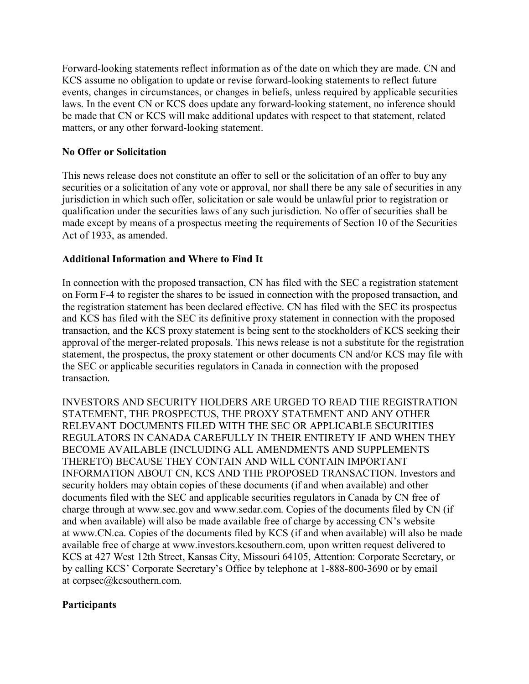Forward-looking statements reflect information as of the date on which they are made. CN and KCS assume no obligation to update or revise forward-looking statements to reflect future events, changes in circumstances, or changes in beliefs, unless required by applicable securities laws. In the event CN or KCS does update any forward-looking statement, no inference should be made that CN or KCS will make additional updates with respect to that statement, related matters, or any other forward-looking statement.

# **No Offer or Solicitation**

This news release does not constitute an offer to sell or the solicitation of an offer to buy any securities or a solicitation of any vote or approval, nor shall there be any sale of securities in any jurisdiction in which such offer, solicitation or sale would be unlawful prior to registration or qualification under the securities laws of any such jurisdiction. No offer of securities shall be made except by means of a prospectus meeting the requirements of Section 10 of the Securities Act of 1933, as amended.

#### **Additional Information and Where to Find It**

In connection with the proposed transaction, CN has filed with the SEC a registration statement on Form F-4 to register the shares to be issued in connection with the proposed transaction, and the registration statement has been declared effective. CN has filed with the SEC its prospectus and KCS has filed with the SEC its definitive proxy statement in connection with the proposed transaction, and the KCS proxy statement is being sent to the stockholders of KCS seeking their approval of the merger-related proposals. This news release is not a substitute for the registration statement, the prospectus, the proxy statement or other documents CN and/or KCS may file with the SEC or applicable securities regulators in Canada in connection with the proposed transaction.

INVESTORS AND SECURITY HOLDERS ARE URGED TO READ THE REGISTRATION STATEMENT, THE PROSPECTUS, THE PROXY STATEMENT AND ANY OTHER RELEVANT DOCUMENTS FILED WITH THE SEC OR APPLICABLE SECURITIES REGULATORS IN CANADA CAREFULLY IN THEIR ENTIRETY IF AND WHEN THEY BECOME AVAILABLE (INCLUDING ALL AMENDMENTS AND SUPPLEMENTS THERETO) BECAUSE THEY CONTAIN AND WILL CONTAIN IMPORTANT INFORMATION ABOUT CN, KCS AND THE PROPOSED TRANSACTION. Investors and security holders may obtain copies of these documents (if and when available) and other documents filed with the SEC and applicable securities regulators in Canada by CN free of charge through at www.sec.gov and www.sedar.com. Copies of the documents filed by CN (if and when available) will also be made available free of charge by accessing CN's website at www.CN.ca. Copies of the documents filed by KCS (if and when available) will also be made available free of charge at www.investors.kcsouthern.com, upon written request delivered to KCS at 427 West 12th Street, Kansas City, Missouri 64105, Attention: Corporate Secretary, or by calling KCS' Corporate Secretary's Office by telephone at 1-888-800-3690 or by email at corpsec@kcsouthern.com.

# **Participants**